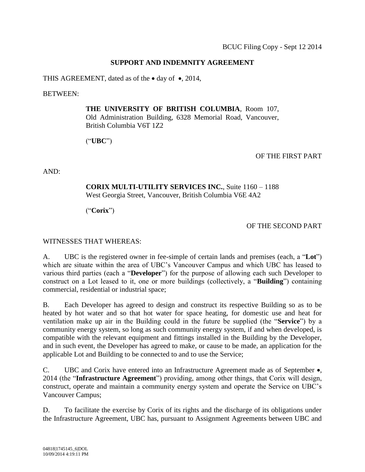# **SUPPORT AND INDEMNITY AGREEMENT**

THIS AGREEMENT, dated as of the  $\bullet$  day of  $\bullet$ , 2014,

BETWEEN:

**THE UNIVERSITY OF BRITISH COLUMBIA**, Room 107, Old Administration Building, 6328 Memorial Road, Vancouver, British Columbia V6T 1Z2

("**UBC**")

### OF THE FIRST PART

AND:

# **CORIX MULTI-UTILITY SERVICES INC.**, Suite 1160 – 1188 West Georgia Street, Vancouver, British Columbia V6E 4A2

("**Corix**")

OF THE SECOND PART

WITNESSES THAT WHEREAS:

A. UBC is the registered owner in fee-simple of certain lands and premises (each, a "**Lot**") which are situate within the area of UBC's Vancouver Campus and which UBC has leased to various third parties (each a "**Developer**") for the purpose of allowing each such Developer to construct on a Lot leased to it, one or more buildings (collectively, a "**Building**") containing commercial, residential or industrial space;

B. Each Developer has agreed to design and construct its respective Building so as to be heated by hot water and so that hot water for space heating, for domestic use and heat for ventilation make up air in the Building could in the future be supplied (the "**Service**") by a community energy system, so long as such community energy system, if and when developed, is compatible with the relevant equipment and fittings installed in the Building by the Developer, and in such event, the Developer has agreed to make, or cause to be made, an application for the applicable Lot and Building to be connected to and to use the Service;

C. UBC and Corix have entered into an Infrastructure Agreement made as of September  $\bullet$ , 2014 (the "**Infrastructure Agreement**") providing, among other things, that Corix will design, construct, operate and maintain a community energy system and operate the Service on UBC's Vancouver Campus;

D. To facilitate the exercise by Corix of its rights and the discharge of its obligations under the Infrastructure Agreement, UBC has, pursuant to Assignment Agreements between UBC and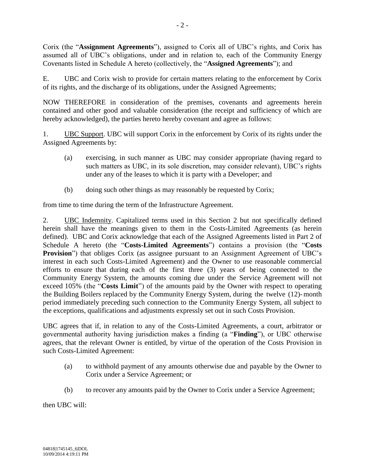Corix (the "**Assignment Agreements**"), assigned to Corix all of UBC's rights, and Corix has assumed all of UBC's obligations, under and in relation to, each of the Community Energy Covenants listed in Schedule A hereto (collectively, the "**Assigned Agreements**"); and

E. UBC and Corix wish to provide for certain matters relating to the enforcement by Corix of its rights, and the discharge of its obligations, under the Assigned Agreements;

NOW THEREFORE in consideration of the premises, covenants and agreements herein contained and other good and valuable consideration (the receipt and sufficiency of which are hereby acknowledged), the parties hereto hereby covenant and agree as follows:

1. UBC Support. UBC will support Corix in the enforcement by Corix of its rights under the Assigned Agreements by:

- (a) exercising, in such manner as UBC may consider appropriate (having regard to such matters as UBC, in its sole discretion, may consider relevant), UBC's rights under any of the leases to which it is party with a Developer; and
- (b) doing such other things as may reasonably be requested by Corix;

from time to time during the term of the Infrastructure Agreement.

2. UBC Indemnity. Capitalized terms used in this Section 2 but not specifically defined herein shall have the meanings given to them in the Costs-Limited Agreements (as herein defined). UBC and Corix acknowledge that each of the Assigned Agreements listed in Part 2 of Schedule A hereto (the "**Costs-Limited Agreements**") contains a provision (the "**Costs Provision**") that obliges Corix (as assignee pursuant to an Assignment Agreement of UBC's interest in each such Costs-Limited Agreement) and the Owner to use reasonable commercial efforts to ensure that during each of the first three (3) years of being connected to the Community Energy System, the amounts coming due under the Service Agreement will not exceed 105% (the "**Costs Limit**") of the amounts paid by the Owner with respect to operating the Building Boilers replaced by the Community Energy System, during the twelve (12)-month period immediately preceding such connection to the Community Energy System, all subject to the exceptions, qualifications and adjustments expressly set out in such Costs Provision.

UBC agrees that if, in relation to any of the Costs-Limited Agreements, a court, arbitrator or governmental authority having jurisdiction makes a finding (a "**Finding**"), or UBC otherwise agrees, that the relevant Owner is entitled, by virtue of the operation of the Costs Provision in such Costs-Limited Agreement:

- (a) to withhold payment of any amounts otherwise due and payable by the Owner to Corix under a Service Agreement; or
- (b) to recover any amounts paid by the Owner to Corix under a Service Agreement;

then UBC will: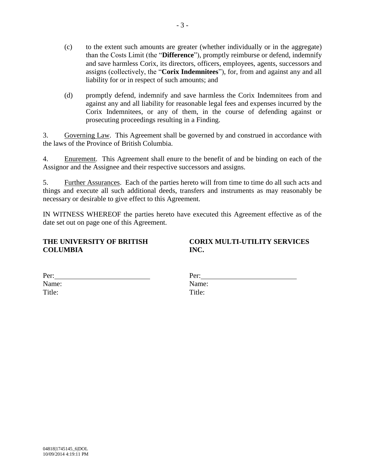- (c) to the extent such amounts are greater (whether individually or in the aggregate) than the Costs Limit (the "**Difference**"), promptly reimburse or defend, indemnify and save harmless Corix, its directors, officers, employees, agents, successors and assigns (collectively, the "**Corix Indemnitees**"), for, from and against any and all liability for or in respect of such amounts; and
- (d) promptly defend, indemnify and save harmless the Corix Indemnitees from and against any and all liability for reasonable legal fees and expenses incurred by the Corix Indemnitees, or any of them, in the course of defending against or prosecuting proceedings resulting in a Finding.

3. Governing Law. This Agreement shall be governed by and construed in accordance with the laws of the Province of British Columbia.

4. Enurement. This Agreement shall enure to the benefit of and be binding on each of the Assignor and the Assignee and their respective successors and assigns.

5. Further Assurances. Each of the parties hereto will from time to time do all such acts and things and execute all such additional deeds, transfers and instruments as may reasonably be necessary or desirable to give effect to this Agreement.

IN WITNESS WHEREOF the parties hereto have executed this Agreement effective as of the date set out on page one of this Agreement.

### **THE UNIVERSITY OF BRITISH COLUMBIA**

**CORIX MULTI-UTILITY SERVICES INC.**

| Per:   |  |  |
|--------|--|--|
| Name:  |  |  |
| Title: |  |  |

| Per:   |  |  |
|--------|--|--|
| Name:  |  |  |
| Title: |  |  |